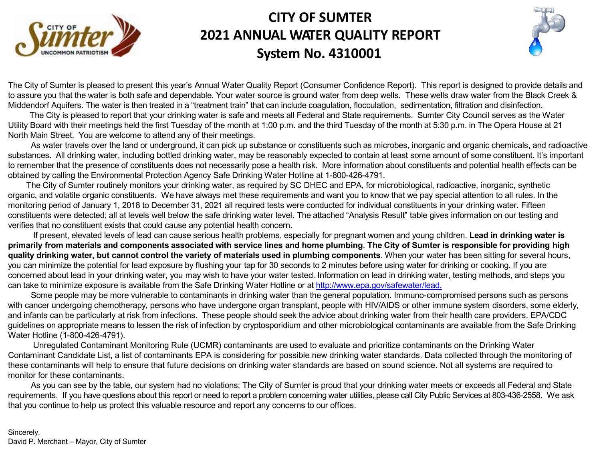

# **CITY OF SUMTER 2021 ANNUAL WATER QUALITY REPORT System No. 4310001**

The City of Sumter is pleased to present this year's Annual Water Quality Report (Consumer Confidence Report). This report is designed to to assure you that the water is both safe and dependable. Your water source is ground water from deep wells. These wells draw water from Middendorf Aquifers. The water is then treated in a "treatment train" that can include coagulation, flocculation, sedimentation, filtration and dis

The City is pleased to report that your drinking water is safe and meets all Federal and State requirements. Sumter City Council serve Utility Board with their meetings held the first Tuesday of the month at 1:00 p.m. and the third Tuesday of the month at 5:30 p.m. in The Oper North Main Street. You are welcome to attend any of their meetings.

As water travels over the land or underground, it can pick up substance or constituents such as microbes, inorganic and organic chem substances. All drinking water, including bottled drinking water, may be reasonably expected to contain at least some amount of some cons to remember that the presence of constituents does not necessarily pose a health risk. More information about constituents and potential he obtained by calling the Environmental Protection Agency Safe Drinking Water Hotline at 1-800-426-4791.

The City of Sumter routinely monitors your drinking water, as required by SC DHEC and EPA, for microbiological, radioactive, inorganic organic, and volatile organic constituents. We have always met these requirements and want you to know that we pay special attention to all monitoring period of January 1, 2018 to December 31, 2021 all required tests were conducted for individual constituents in your drinking water. constituents were detected; all at levels well below the safe drinking water level. The attached "Analysis Result" table gives information on or verifies that no constituent exists that could cause any potential health concern.

If present, elevated levels of lead can cause serious health problems, especially for pregnant women and young children. Lead in dri primarily from materials and components associated with service lines and home plumbing. The City of Sumter is responsible for quality drinking water, but cannot control the variety of materials used in plumbing components. When your water has been sitting f you can minimize the potential for lead exposure by flushing your tap for 30 seconds to 2 minutes before using water for drinking or cooking. concerned about lead in your drinking water, you may wish to have your water tested. Information on lead in drinking water, testing methods can take to minimize exposure is available from the Safe Drinking Water Hotline or at http://www.epa.gov/safewater/lead.

Some people may be more vulnerable to contaminants in drinking water than the general population. Immuno-compromised persons step with cancer undergoing chemotherapy, persons who have undergone organ transplant, people with HIV/AIDS or other immune system disor and infants can be particularly at risk from infections. These people should seek the advice about drinking water from their health care provi guidelines on appropriate means to lessen the risk of infection by cryptosporidium and other microbiological contaminants are available from Water Hotline (1-800-426-4791).

Unregulated Contaminant Monitoring Rule (UCMR) contaminants are used to evaluate and prioritize contaminants on the Drinking Contaminant Candidate List, a list of contaminants EPA is considering for possible new drinking water standards. Data collected through these contaminants will help to ensure that future decisions on drinking water standards are based on sound science. Not all systems are monitor for these contaminants.

As you can see by the table, our system had no violations; The City of Sumter is proud that your drinking water meets or exceeds all F requirements. If you have questions about this report or need to report a problem concerning water utilities, please call City Public Services at 803-4 that you continue to help us protect this valuable resource and report any concerns to our offices.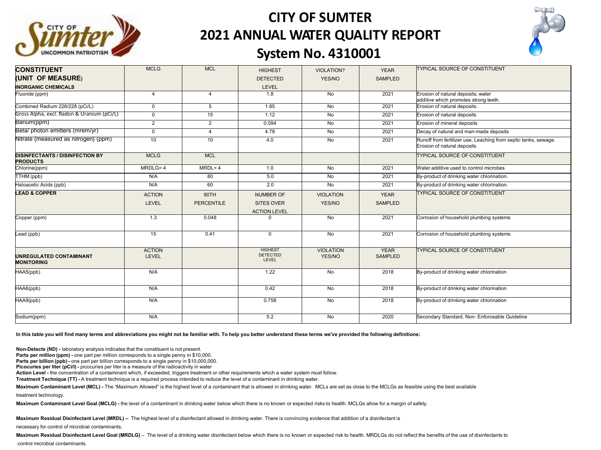

# **CITY OF SUMTER 2021 ANNUAL WATER QUALITY REPORT**



### **System No. 4310001**

| <b>CONSTITUENT</b>                                        | <b>MCLG</b>            | <b>MCL</b>                | <b>HIGHEST</b>                                               | <b>VIOLATION?</b>          | <b>YEAR</b>                   | <b>TYPICAL SOURCE OF CONSTITUENT</b>                                                           |
|-----------------------------------------------------------|------------------------|---------------------------|--------------------------------------------------------------|----------------------------|-------------------------------|------------------------------------------------------------------------------------------------|
| (UNIT OF MEASURE)                                         |                        |                           | <b>DETECTED</b>                                              | YES/NO                     | <b>SAMPLED</b>                |                                                                                                |
| <b>INORGANIC CHEMICALS</b>                                |                        |                           | LEVEL                                                        |                            |                               |                                                                                                |
| Fluoride (ppm)                                            | $\overline{4}$         | $\overline{4}$            | 1.8                                                          | No                         | 2021                          | Erosion of natural deposits; water<br>additive which promotes strong teeth.                    |
| Combined Radium 226/228 (pCi/L)                           | $\mathbf 0$            | 5                         | 1.85                                                         | No                         | 2021                          | Erosion of natural deposits.                                                                   |
| Gross Alpha, excl. Radon & Uranium (pCi/L)                | $\mathbf{0}$           | 15                        | 1.12                                                         | No                         | 2021                          | Erosion of natural deposits                                                                    |
| Barium(ppm)                                               | $\overline{2}$         | $\overline{2}$            | 0.094                                                        | No                         | 2021                          | Erosion of mineral deposits                                                                    |
| Beta/ photon emitters (mrem/yr)                           | $\Omega$               | $\overline{4}$            | 4.78                                                         | No                         | 2021                          | Decay of natural and man-made deposits                                                         |
| Nitrate {measured as nitrogen} (ppm)                      | 10                     | 10                        | 4.0                                                          | No                         | 2021                          | Runoff from fertilizer use; Leaching from septic tanks, sewage.<br>Erosion of natural deposits |
| <b>DISINFECTANTS / DISINFECTION BY</b><br><b>PRODUCTS</b> | <b>MCLG</b>            | <b>MCL</b>                |                                                              |                            |                               | <b>TYPICAL SOURCE OF CONSTITUENT</b>                                                           |
| Chlorine(ppm)                                             | MRDLG=4                | $MRDL = 4$                | 1.0                                                          | No                         | 2021                          | Water additive used to control microbes                                                        |
| TTHM (ppb)                                                | N/A                    | 80                        | 5.0                                                          | No                         | 2021                          | By-product of drinking water chlorination.                                                     |
| Haloacetic Acids (ppb)                                    | N/A                    | 60                        | 2.0                                                          | No                         | 2021                          | By-product of drinking water chlorination.                                                     |
| <b>LEAD &amp; COPPER</b>                                  | <b>ACTION</b><br>LEVEL | 90TH<br><b>PERCENTILE</b> | <b>NUMBER OF</b><br><b>SITES OVER</b><br><b>ACTION LEVEL</b> | <b>VIOLATION</b><br>YES/NO | <b>YEAR</b><br><b>SAMPLED</b> | <b>TYPICAL SOURCE OF CONSTITUENT</b>                                                           |
| Copper (ppm)                                              | 1.3                    | 0.048                     | $\Omega$                                                     | No                         | 2021                          | Corrosion of household plumbing systems                                                        |
| Lead (ppb)                                                | 15                     | 0.41                      | $\mathbf 0$                                                  | No                         | 2021                          | Corrosion of household plumbing systems                                                        |
| <b>UNREGULATED CONTAMINANT</b><br><b>MONITORING</b>       | <b>ACTION</b><br>LEVEL |                           | <b>HIGHEST</b><br><b>DETECTED</b><br><b>LEVEL</b>            | <b>VIOLATION</b><br>YES/NO | <b>YEAR</b><br>SAMPLED        | <b>TYPICAL SOURCE OF CONSTITUENT</b>                                                           |
| HAA5(ppb)                                                 | N/A                    |                           | 1.22                                                         | No                         | 2018                          | By-product of drinking water chlorination                                                      |
| HAA6(ppb)                                                 | N/A                    |                           | 0.42                                                         | No                         | 2018                          | By-product of drinking water chlorination                                                      |
| HAA9(ppb)                                                 | N/A                    |                           | 0.758                                                        | <b>No</b>                  | 2018                          | By-product of drinking water chlorination                                                      |
| Sodium(ppm)                                               | N/A                    |                           | 5.2                                                          | N <sub>o</sub>             | 2020                          | Secondary Standard, Non- Enforceable Guideline                                                 |

In this table you will find many terms and abbreviations you might not be familiar with. To help you better understand these terms we've provided the following definitions:

**Non-Detects (ND) -** laboratory analysis indicates that the constituent is not present.

**Parts per million (ppm) -** one part per million corresponds to a single penny in \$10,000.

**Parts per billion (ppb) -** one part per billion corresponds to a single penny in \$10,000,000.

**Picocuries per liter (pCi/l) -** picocuries per liter is a measure of the radioactivity in water

**Action Level -** the concentration of a contaminant which, if exceeded, triggers treatment or other requirements which a water system must follow.

**Treatment Technique (TT) -** A treatment technique is a required process intended to reduce the level of a contaminant in drinking water.

Maximum Contaminant Level (MCL) - The "Maximum Allowed" is the highest level of a contaminant that is allowed in drinking water. MCLs are set as close to the MCLGs as feasible using the best available treatment technology.

**Maximum Contaminant Level Goal (MCLG) -** the level of a contaminant in drinking water below which there is no known or expected risks to health. MCLGs allow for a margin of safety.

**Maximum Residual Disinfectant Level (MRDL) –** The highest level of a disinfectant allowed in drinking water. There is convincing evidence that addition of a disinfectant is

necessary for control of microbial contaminants.

Maximum Residual Disinfectant Level Goal (MRDLG) - The level of a drinking water disinfectant below which there is no known or expected risk to health. MRDLGs do not reflect the benefits of the use of disinfectants to control microbial contaminants.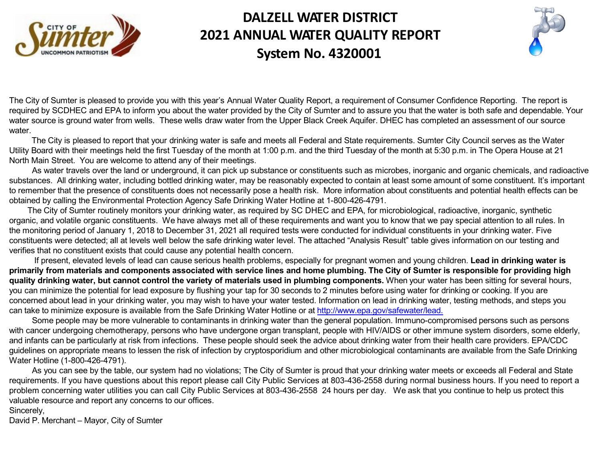

# **DALZELL WATER DISTRICT 2021 ANNUAL WATER QUALITY REPORT System No. 4320001**

The City of Sumter is pleased to provide you with this year's Annual Water Quality Report, a requirement [of Consumer](http://www.epa.gov/safewater/lead) Confidence Reportin required by SCDHEC and EPA to inform you about the water provided by the City of Sumter and to assure you that the water is both safe and to assure you that the water is both safe and water source is ground water from wells. These wells draw water from the Upper Black Creek Aquifer. DHEC has completed an assessment water.

The City is pleased to report that your drinking water is safe and meets all Federal and State requirements. Sumter City Council serve Utility Board with their meetings held the first Tuesday of the month at 1:00 p.m. and the third Tuesday of the month at 5:30 p.m. in The Ope North Main Street. You are welcome to attend any of their meetings.

As water travels over the land or underground, it can pick up substance or constituents such as microbes, inorganic and organic chem substances. All drinking water, including bottled drinking water, may be reasonably expected to contain at least some amount of some cons to remember that the presence of constituents does not necessarily pose a health risk. More information about constituents and potential he obtained by calling the Environmental Protection Agency Safe Drinking Water Hotline at 1-800-426-4791.

The City of Sumter routinely monitors your drinking water, as required by SC DHEC and EPA, for microbiological, radioactive, inorgani organic, and volatile organic constituents. We have always met all of these requirements and want you to know that we pay special attention the monitoring period of January 1, 2018 to December 31, 2021 all required tests were conducted for individual constituents in your drinking constituents were detected; all at levels well below the safe drinking water level. The attached "Analysis Result" table gives information on o verifies that no constituent exists that could cause any potential health concern.

If present, elevated levels of lead can cause serious health problems, especially for pregnant women and young children. Lead in dri primarily from materials and components associated with service lines and home plumbing. The City of Sumter is responsible for **quality drinking water, but cannot control the variety of materials used in plumbing components. When your water has been sitting f** you can minimize the potential for lead exposure by flushing your tap for 30 seconds to 2 minutes before using water for drinking or cooking concerned about lead in your drinking water, you may wish to have your water tested. Information on lead in drinking water, testing methods can take to minimize exposure is available from the Safe Drinking Water Hotline or at http://www.epa.gov/safewater/lead.

Some people may be more vulnerable to contaminants in drinking water than the general population. Immuno-compromised persons with cancer undergoing chemotherapy, persons who have undergone organ transplant, people with HIV/AIDS or other immune system disor and infants can be particularly at risk from infections. These people should seek the advice about drinking water from their health care provi guidelines on appropriate means to lessen the risk of infection by cryptosporidium and other microbiological contaminants are available from Water Hotline (1-800-426-4791).

As you can see by the table, our system had no violations; The City of Sumter is proud that your drinking water meets or exceeds all I requirements. If you have questions about this report please call City Public Services at 803-436-2558 during normal business hours. If you problem concerning water utilities you can call City Public Services at 803-436-2558 24 hours per day. We ask that you continue to help valuable resource and report any concerns to our offices.

Sincerely,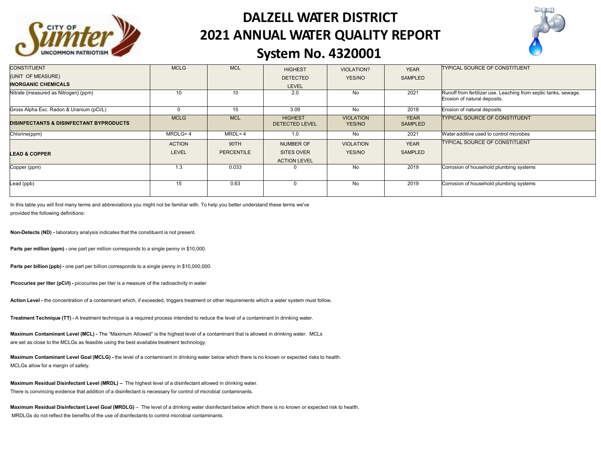

# **DALZELL WATER DISTRICT 2021 ANNUAL WATER QUALITY REPORT**



### **System No. 4320001**

| <b>CONSTITUENT</b>                                 | <b>MCLG</b>   | <b>MCL</b>        | <b>HIGHEST</b>                          | <b>VIOLATION?</b>          | <b>YEAR</b>            | <b>TYPICAL SOURCE OF CONSTITUENT</b>                                                            |
|----------------------------------------------------|---------------|-------------------|-----------------------------------------|----------------------------|------------------------|-------------------------------------------------------------------------------------------------|
| (UNIT OF MEASURE)                                  |               |                   | <b>DETECTED</b>                         | YES/NO                     | SAMPLED                |                                                                                                 |
| <b>INORGANIC CHEMICALS</b>                         |               |                   | <b>LEVEL</b>                            |                            |                        |                                                                                                 |
| Nitrate {measured as Nitrogen} (ppm)               | 10            | 10                | 2.0                                     | No                         | 2021                   | Runoff from fertilizer use. Leaching from septic tanks, sewage.<br>Erosion of natural deposits. |
| Gross Alpha Exc. Radon & Uranium (pCi/L)           |               | 15                | 3.09                                    | No                         | 2018                   | Erosion of natural deposits                                                                     |
| <b>DISINFECTANTS &amp; DISINFECTANT BYPRODUCTS</b> | <b>MCLG</b>   | <b>MCL</b>        | <b>HIGHEST</b><br><b>DETECTED LEVEL</b> | <b>VIOLATION</b><br>YES/NO | <b>YEAR</b><br>SAMPLED | <b>ITYPICAL SOURCE OF CONSTITUENT</b>                                                           |
| Chlorine(ppm)                                      | $MRDLG=4$     | $MRDL = 4$        | 1.0                                     | No                         | 2021                   | Water additive used to control microbes                                                         |
|                                                    | <b>ACTION</b> | 90TH              | <b>NUMBER OF</b>                        | <b>VIOLATION</b>           | <b>YEAR</b>            | <b>TYPICAL SOURCE OF CONSTITUENT</b>                                                            |
| <b>LEAD &amp; COPPER</b>                           | <b>LEVEL</b>  | <b>PERCENTILE</b> | SITES OVER                              | YES/NO                     | SAMPLED                |                                                                                                 |
|                                                    |               |                   | <b>ACTION LEVEL</b>                     |                            |                        |                                                                                                 |
| Copper (ppm)                                       | 1.3           | 0.033             | $\Omega$                                | No                         | 2019                   | Corrosion of household plumbing systems                                                         |
| Lead (ppb)                                         | 15            | 0.63              | $\Omega$                                | No                         | 2019                   | Corrosion of household plumbing systems                                                         |

In this table you will find many terms and abbreviations you might not be familiar with. To help you better understand these terms we've provided the following definitions:

**Non-Detects (ND) -** laboratory analysis indicates that the constituent is not present.

**Parts per million (ppm) -** one part per million corresponds to a single penny in \$10,000.

**Parts per billion (ppb) -** one part per billion corresponds to a single penny in \$10,000,000.

**Picocuries per liter (pCi/l) -** picocuries per liter is a measure of the radioactivity in water

**Action Level -** the concentration of a contaminant which, if exceeded, triggers treatment or other requirements which a water system must follow.

**Treatment Technique (TT) -** A treatment technique is a required process intended to reduce the level of a contaminant in drinking water.

**Maximum Contaminant Level (MCL) -** The "Maximum Allowed" is the highest level of a contaminant that is allowed in drinking water. MCLs are set as close to the MCLGs as feasible using the best available treatment technology.

**Maximum Contaminant Level Goal (MCLG) -** the level of a contaminant in drinking water below which there is no known or expected risks to health. MCLGs allow for a margin of safety.

**Maximum Residual Disinfectant Level (MRDL) –** The highest level of a disinfectant allowed in drinking water. There is convincing evidence that addition of a disinfectant is necessary for control of microbial contaminants.

**Maximum Residual Disinfectant Level Goal (MRDLG)** – The level of a drinking water disinfectant below which there is no known or expected risk to health. MRDLGs do not reflect the benefits of the use of disinfectants to control microbial contaminants.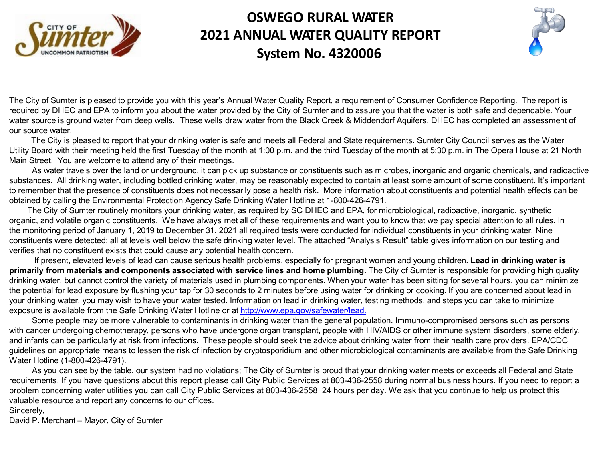

# **OSWEGO RURAL WATER 2021 ANNUAL WATER QUALITY REPORT System No. 4320006**

The City of Sumter is pleased to provide you with this year's Annual Water [Quality Report, a](http://www.epa.gov/safewater/lead) requirement of Consumer Confidence Reportin required by DHEC and EPA to inform you about the water provided by the City of Sumter and to assure you that the water is both safe and d water source is ground water from deep wells. These wells draw water from the Black Creek & Middendorf Aquifers. DHEC has completed our source water.

The City is pleased to report that your drinking water is safe and meets all Federal and State requirements. Sumter City Council serve Utility Board with their meeting held the first Tuesday of the month at 1:00 p.m. and the third Tuesday of the month at 5:30 p.m. in The Opera Main Street. You are welcome to attend any of their meetings.

As water travels over the land or underground, it can pick up substance or constituents such as microbes, inorganic and organic chem substances. All drinking water, including bottled drinking water, may be reasonably expected to contain at least some amount of some cons to remember that the presence of constituents does not necessarily pose a health risk. More information about constituents and potential he obtained by calling the Environmental Protection Agency Safe Drinking Water Hotline at 1-800-426-4791.

The City of Sumter routinely monitors your drinking water, as required by SC DHEC and EPA, for microbiological, radioactive, inorgani organic, and volatile organic constituents. We have always met all of these requirements and want you to know that we pay special attention the monitoring period of January 1, 2019 to December 31, 2021 all required tests were conducted for individual constituents in your drinking constituents were detected; all at levels well below the safe drinking water level. The attached "Analysis Result" table gives information on o verifies that no constituent exists that could cause any potential health concern.

If present, elevated levels of lead can cause serious health problems, especially for pregnant women and young children. Lead in dri primarily from materials and components associated with service lines and home plumbing. The City of Sumter is responsible for pr drinking water, but cannot control the variety of materials used in plumbing components. When your water has been sitting for several hours the potential for lead exposure by flushing your tap for 30 seconds to 2 minutes before using water for drinking or cooking. If you are concern your drinking water, you may wish to have your water tested. Information on lead in drinking water, testing methods, and steps you can take exposure is available from the Safe Drinking Water Hotline or at http://www.epa.gov/safewater/lead.

Some people may be more vulnerable to contaminants in drinking water than the general population. Immuno-compromised persons with cancer undergoing chemotherapy, persons who have undergone organ transplant, people with HIV/AIDS or other immune system disor and infants can be particularly at risk from infections. These people should seek the advice about drinking water from their health care provi guidelines on appropriate means to lessen the risk of infection by cryptosporidium and other microbiological contaminants are available from Water Hotline (1-800-426-4791).

As you can see by the table, our system had no violations; The City of Sumter is proud that your drinking water meets or exceeds all I requirements. If you have questions about this report please call City Public Services at 803-436-2558 during normal business hours. If you problem concerning water utilities you can call City Public Services at 803-436-2558 24 hours per day. We ask that you continue to help u valuable resource and report any concerns to our offices.

Sincerely,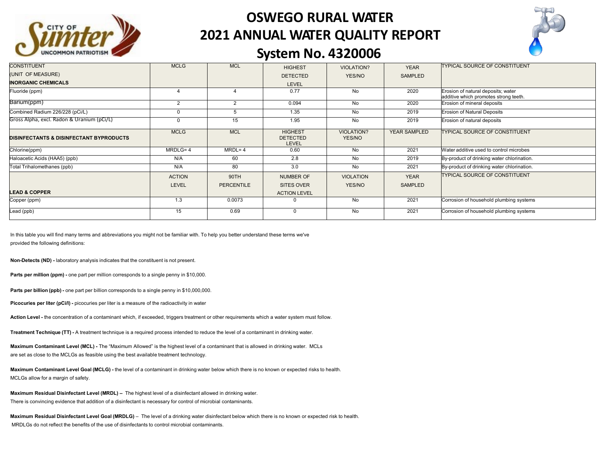

# **OSWEGO RURAL WATER 2021 ANNUAL WATER QUALITY REPORT**



#### **System No. 4320006**

| <b>CONSTITUENT</b>                                 | <b>MCLG</b>    | <b>MCL</b>        | <b>HIGHEST</b>                             | <b>VIOLATION?</b>           | <b>YEAR</b>    | <b>TYPICAL SOURCE OF CONSTITUENT</b>                                        |
|----------------------------------------------------|----------------|-------------------|--------------------------------------------|-----------------------------|----------------|-----------------------------------------------------------------------------|
| (UNIT OF MEASURE)                                  |                |                   | <b>DETECTED</b>                            | YES/NO                      | SAMPLED        |                                                                             |
| <b>INORGANIC CHEMICALS</b>                         |                |                   | LEVEL                                      |                             |                |                                                                             |
| Fluoride (ppm)                                     |                |                   | 0.77                                       | No                          | 2020           | Erosion of natural deposits; water<br>additive which promotes strong teeth. |
| Barium(ppm)                                        | $\overline{2}$ | $\overline{2}$    | 0.094                                      | No                          | 2020           | Erosion of mineral deposits                                                 |
| Combined Radium 226/228 (pCi/L)                    | $\Omega$       | 5                 | 1.35                                       | No                          | 2019           | <b>Erosion of Natural Deposits</b>                                          |
| Gross Alpha, excl. Radon & Uranium (pCi/L)         | $\mathbf 0$    | 15                | 1.95                                       | <b>No</b>                   | 2019           | Erosion of natural deposits                                                 |
| <b>DISINFECTANTS &amp; DISINFECTANT BYPRODUCTS</b> | <b>MCLG</b>    | <b>MCL</b>        | <b>HIGHEST</b><br><b>DETECTED</b><br>LEVEL | <b>VIOLATION?</b><br>YES/NO | YEAR SAMPLED   | <b>TYPICAL SOURCE OF CONSTITUENT</b>                                        |
| Chlorine(ppm)                                      | MRDLG=4        | $MRDL = 4$        | 0.60                                       | No                          | 2021           | Water additive used to control microbes                                     |
| Haloacetic Acids (HAA5) (ppb)                      | N/A            | 60                | 2.8                                        | <b>No</b>                   | 2019           | By-product of drinking water chlorination.                                  |
| Total Trihalomethanes (ppb)                        | N/A            | 80                | 3.0                                        | No                          | 2021           | By-product of drinking water chlorination.                                  |
|                                                    | <b>ACTION</b>  | 90TH              | <b>NUMBER OF</b>                           | <b>VIOLATION</b>            | <b>YEAR</b>    | <b>TYPICAL SOURCE OF CONSTITUENT</b>                                        |
|                                                    | <b>LEVEL</b>   | <b>PERCENTILE</b> | <b>SITES OVER</b>                          | YES/NO                      | <b>SAMPLED</b> |                                                                             |
| <b>LEAD &amp; COPPER</b>                           |                |                   | <b>ACTION LEVEL</b>                        |                             |                |                                                                             |
| Copper (ppm)                                       | 1.3            | 0.0073            | 0                                          | No                          | 2021           | Corrosion of household plumbing systems                                     |
| Lead (ppb)                                         | 15             | 0.69              | $\Omega$                                   | No                          | 2021           | Corrosion of household plumbing systems                                     |

In this table you will find many terms and abbreviations you might not be familiar with. To help you better understand these terms we've provided the following definitions:

**Non-Detects (ND) -** laboratory analysis indicates that the constituent is not present.

**Parts per million (ppm) -** one part per million corresponds to a single penny in \$10,000.

**Parts per billion (ppb) -** one part per billion corresponds to a single penny in \$10,000,000.

**Picocuries per liter (pCi/l) -** picocuries per liter is a measure of the radioactivity in water

**Action Level -** the concentration of a contaminant which, if exceeded, triggers treatment or other requirements which a water system must follow.

**Treatment Technique (TT) -** A treatment technique is a required process intended to reduce the level of a contaminant in drinking water.

**Maximum Contaminant Level (MCL) -** The "Maximum Allowed" is the highest level of a contaminant that is allowed in drinking water. MCLs are set as close to the MCLGs as feasible using the best available treatment technology.

**Maximum Contaminant Level Goal (MCLG) -** the level of a contaminant in drinking water below which there is no known or expected risks to health. MCLGs allow for a margin of safety.

**Maximum Residual Disinfectant Level (MRDL) –** The highest level of a disinfectant allowed in drinking water. There is convincing evidence that addition of a disinfectant is necessary for control of microbial contaminants.

**Maximum Residual Disinfectant Level Goal (MRDLG)** – The level of a drinking water disinfectant below which there is no known or expected risk to health. MRDLGs do not reflect the benefits of the use of disinfectants to control microbial contaminants.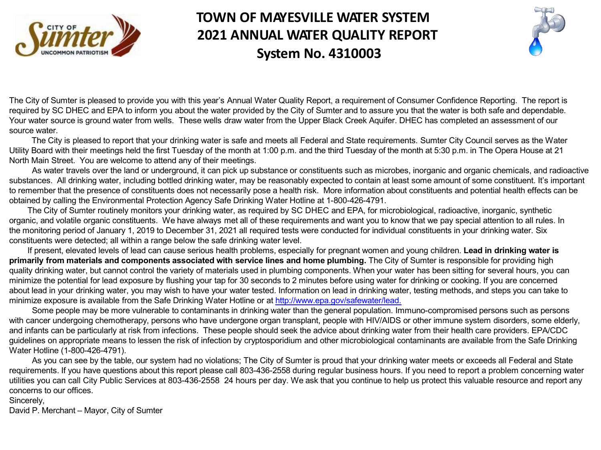

# **TOWN OF MAYESVILLE WATER SYSTEM 2021 ANNUAL WATER QUALITY REPORT System No. 4310003**

The City of Sumter is pleased to provide you with this year's Annual Water Quality Report, a requirement of Consumer Confidence Reportin required by SC DHEC and EPA to inform you about the water provided by the City of Sumter and to assure you that the water is both safe a Your water source is ground water from wells. These wells draw water from the Upper Black Creek Aquifer. DHEC has completed an asses source water.

The City is pleased to report that your drinking water is safe and meets all Federal and State requirements. Sumter City Council serv Utility Board with their meetings held the first Tuesday of the month at 1:00 p.m. and the third Tuesday of the month at 5:30 p.m. in The Ope North Main Street. You are welcome to attend any of their meetings.

As water travels over the land or underground, it can pick up substance or constituents such as microbes, inorganic and organic chem substances. All drinking water, including bottled drinking water, may be reasonably expected to contain at least some amount of some cons to remember that the presence of constituents does not necessarily pose a health risk. More information about constituents and potential he obtained by calling the Environmental Protection Agency Safe Drinking Water Hotline at 1-800-426-4791.

The City of Sumter routinely monitors your drinking water, as required by SC DHEC and EPA, for microbiological, radioactive, inorgani organic, and volatile organic constituents. We have always met all of these requirements and want you to know that we pay special attention the monitoring period of January 1, 2019 to December 31, 2021 all required tests were conducted for individual constituents in your drinking constituents were detected; all within a range below the safe drinking water level.

If present, elevated levels of lead can cause serious health problems, especially for pregnant women and young children. Lead in drin **primarily from materials and components associated with service lines and home plumbing. The City of Sumter is responsible for pro** quality drinking water, but cannot control the variety of materials used in plumbing components. When your water has been sitting for severa minimize the potential for lead exposure by flushing your tap for 30 seconds to 2 minutes before using water for drinking or cooking. If you a about lead in your drinking water, you may wish to have your water tested. Information on lead in drinking water, testing methods, and steps minimize exposure is available from the Safe Drinking Water Hotline or at http://www.epa.gov/safewater/lead.

Some people may be more vulnerable to contaminants in drinking water than the general population. Immuno-compromised persons with cancer undergoing chemotherapy, persons who have undergone organ transplant, people with HIV/AIDS or other immune system disor and infants can be particularly at risk from infections. These people should seek the advice about drinking water from their health care provi guidelines on appropriate means to lessen the risk of infection by cryptosporidium and other microbiological contaminants are available from Water Hotline (1-800-426-4791).

As you can see by the table, our system had no violations; The City of Sumter is proud that your drinking water meets or exceeds all I requirements. If you have questions about this report please call 803-436-2558 during regular business hours. If you need to report a proble utilities you can call City Public Services at 803-436-2558 24 hours per day. We ask that you continue to help us protect this valuable reso concerns to our offices.

Sincerely,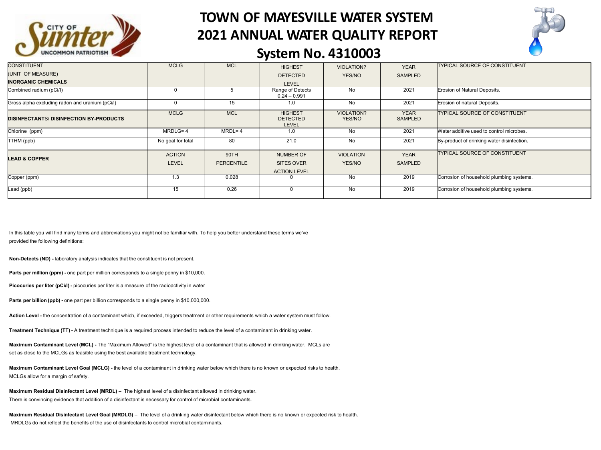

# **TOWN OF MAYESVILLE WATER SYSTEM 2021 ANNUAL WATER QUALITY REPORT**



#### **System No. 4310003**

| <b>CONSTITUENT</b>                              | <b>MCLG</b>       | <b>MCL</b>        | <b>HIGHEST</b>                                    | <b>VIOLATION?</b>           | <b>YEAR</b>            | <b>TYPICAL SOURCE OF CONSTITUENT</b>       |
|-------------------------------------------------|-------------------|-------------------|---------------------------------------------------|-----------------------------|------------------------|--------------------------------------------|
| (UNIT OF MEASURE)                               |                   |                   | <b>DETECTED</b>                                   | YES/NO                      | SAMPLED                |                                            |
| <b>INORGANIC CHEMICALS</b>                      |                   |                   | <b>LEVEL</b>                                      |                             |                        |                                            |
| Combined radium (pCi/l)                         | $\Omega$          |                   | Range of Detects<br>$0.24 - 0.991$                | No                          | 2021                   | Erosion of Natural Deposits.               |
| Gross alpha excluding radon and uranium (pCi/l) | $\Omega$          | 15                | 1.0                                               | No                          | 2021                   | Erosion of natural Deposits.               |
| <b>DISINFECTANTS/DISINFECTION BY-PRODUCTS</b>   | <b>MCLG</b>       | <b>MCL</b>        | <b>HIGHEST</b><br><b>DETECTED</b><br><b>LEVEL</b> | <b>VIOLATION?</b><br>YES/NO | <b>YEAR</b><br>SAMPLED | TYPICAL SOURCE OF CONSTITUENT              |
| Chlorine (ppm)                                  | MRDLG=4           | $MRDL = 4$        | 1.0                                               | No                          | 2021                   | Water additive used to control microbes.   |
| (ppb) TTHM                                      | No goal for total | 80                | 21.0                                              | No                          | 2021                   | By-product of drinking water disinfection. |
|                                                 | <b>ACTION</b>     | 90TH              | <b>NUMBER OF</b>                                  | <b>VIOLATION</b>            | <b>YEAR</b>            | TYPICAL SOURCE OF CONSTITUENT              |
| <b>LEAD &amp; COPPER</b>                        | <b>LEVEL</b>      | <b>PERCENTILE</b> | <b>SITES OVER</b><br><b>ACTION LEVEL</b>          | YES/NO                      | SAMPLED                |                                            |
| Copper (ppm)                                    | 1.3               | 0.028             |                                                   | <b>No</b>                   | 2019                   | Corrosion of household plumbing systems.   |
| Lead (ppb)                                      | 15                | 0.26              | $\Omega$                                          | No                          | 2019                   | Corrosion of household plumbing systems.   |

In this table you will find many terms and abbreviations you might not be familiar with. To help you better understand these terms we've provided the following definitions:

**Non-Detects (ND) -** laboratory analysis indicates that the constituent is not present.

**Parts per million (ppm) -** one part per million corresponds to a single penny in \$10,000.

**Picocuries per liter (pCi/l) -** picocuries per liter is a measure of the radioactivity in water

**Parts per billion (ppb) -** one part per billion corresponds to a single penny in \$10,000,000.

**Action Level -** the concentration of a contaminant which, if exceeded, triggers treatment or other requirements which a water system must follow.

**Treatment Technique (TT) -** A treatment technique is a required process intended to reduce the level of a contaminant in drinking water.

**Maximum Contaminant Level (MCL) -** The "Maximum Allowed" is the highest level of a contaminant that is allowed in drinking water. MCLs are set as close to the MCLGs as feasible using the best available treatment technology.

**Maximum Contaminant Level Goal (MCLG) -** the level of a contaminant in drinking water below which there is no known or expected risks to health. MCLGs allow for a margin of safety.

**Maximum Residual Disinfectant Level (MRDL) –** The highest level of a disinfectant allowed in drinking water. There is convincing evidence that addition of a disinfectant is necessary for control of microbial contaminants.

**Maximum Residual Disinfectant Level Goal (MRDLG)** – The level of a drinking water disinfectant below which there is no known or expected risk to health. MRDLGs do not reflect the benefits of the use of disinfectants to control microbial contaminants.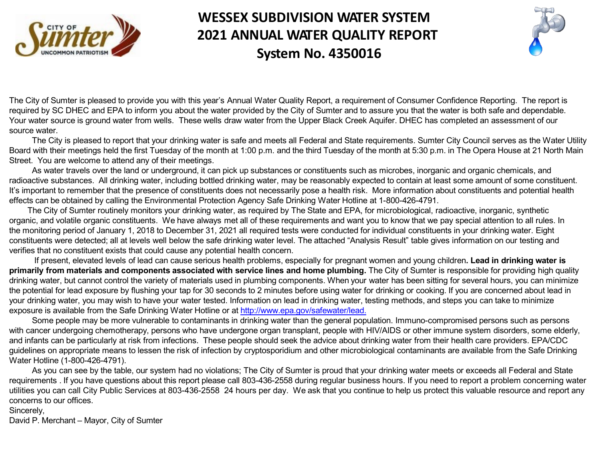

# **WESSEX SUBDIVISION WATER SYSTEM 2021 ANNUAL WATER QUALITY REPORT System No. 4350016**

The City of Sumter is pleased to provide you with this year's Annual Water [Quality Report, a](http://www.epa.gov/safewater/lead) requirement of Consumer Confidence Reportin required by SC DHEC and EPA to inform you about the water provided by the City of Sumter and to assure you that the water is both safe a Your water source is ground water from wells. These wells draw water from the Upper Black Creek Aquifer. DHEC has completed an asses source water.

The City is pleased to report that your drinking water is safe and meets all Federal and State requirements. Sumter City Council serve Board with their meetings held the first Tuesday of the month at 1:00 p.m. and the third Tuesday of the month at 5:30 p.m. in The Opera House Street. You are welcome to attend any of their meetings.

As water travels over the land or underground, it can pick up substances or constituents such as microbes, inorganic and organic che radioactive substances. All drinking water, including bottled drinking water, may be reasonably expected to contain at least some amount of It's important to remember that the presence of constituents does not necessarily pose a health risk. More information about constituents ar effects can be obtained by calling the Environmental Protection Agency Safe Drinking Water Hotline at 1-800-426-4791.

The City of Sumter routinely monitors your drinking water, as required by The State and EPA, for microbiological, radioactive, inorganic organic, and volatile organic constituents. We have always met all of these requirements and want you to know that we pay special attention the monitoring period of January 1, 2018 to December 31, 2021 all required tests were conducted for individual constituents in your drinking constituents were detected; all at levels well below the safe drinking water level. The attached "Analysis Result" table gives information on o verifies that no constituent exists that could cause any potential health concern.

If present, elevated levels of lead can cause serious health problems, especially for pregnant women and young children. Lead in dri primarily from materials and components associated with service lines and home plumbing. The City of Sumter is responsible for pr drinking water, but cannot control the variety of materials used in plumbing components. When your water has been sitting for several hours the potential for lead exposure by flushing your tap for 30 seconds to 2 minutes before using water for drinking or cooking. If you are concern your drinking water, you may wish to have your water tested. Information on lead in drinking water, testing methods, and steps you can take exposure is available from the Safe Drinking Water Hotline or at http://www.epa.gov/safewater/lead.

Some people may be more vulnerable to contaminants in drinking water than the general population. Immuno-compromised persons with cancer undergoing chemotherapy, persons who have undergone organ transplant, people with HIV/AIDS or other immune system disor and infants can be particularly at risk from infections. These people should seek the advice about drinking water from their health care provi guidelines on appropriate means to lessen the risk of infection by cryptosporidium and other microbiological contaminants are available from Water Hotline (1-800-426-4791).

As you can see by the table, our system had no violations; The City of Sumter is proud that your drinking water meets or exceeds all I requirements . If you have questions about this report please call 803-436-2558 during regular business hours. If you need to report a proble utilities you can call City Public Services at 803-436-2558 24 hours per day. We ask that you continue to help us protect this valuable res concerns to our offices.

#### Sincerely,